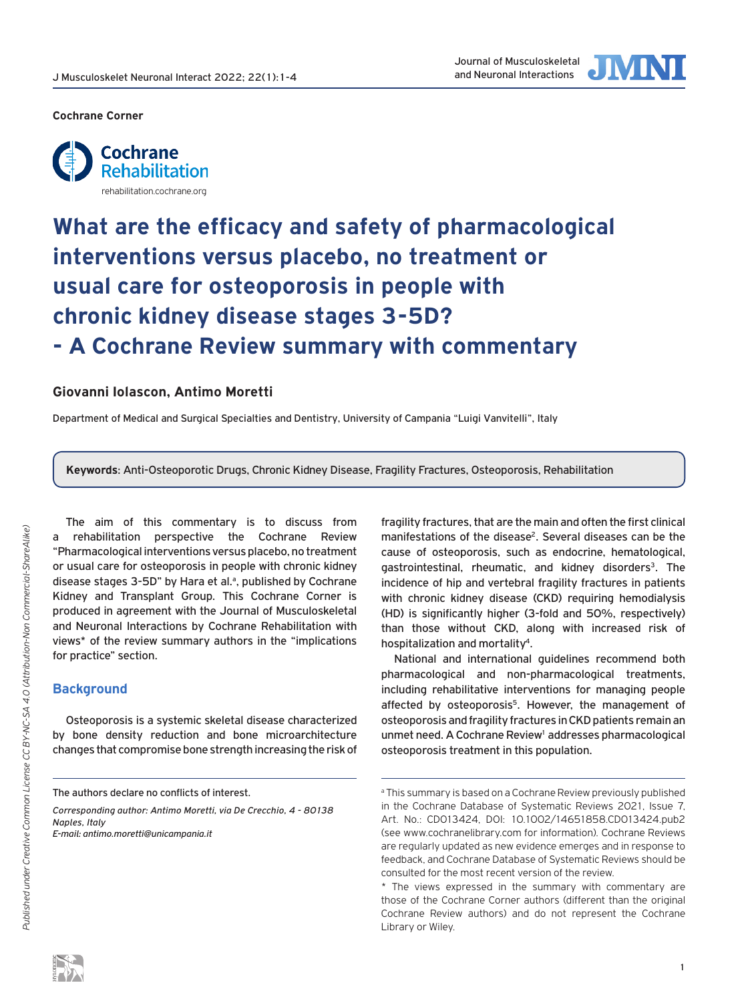

#### **[Cochrane Corner](https://rehabilitation.cochrane.org/)**



# **What are the efficacy and safety of pharmacological interventions versus placebo, no treatment or usual care for osteoporosis in people with chronic kidney disease stages 3-5D? - A Cochrane Review summary with commentary**

## **Giovanni Iolascon, Antimo Moretti**

Department of Medical and Surgical Specialties and Dentistry, University of Campania "Luigi Vanvitelli", Italy

**Keywords**: Anti-Osteoporotic Drugs, Chronic Kidney Disease, Fragility Fractures, Osteoporosis, Rehabilitation

The aim of this commentary is to discuss from a rehabilitation perspective the Cochrane Review "Pharmacological interventions versus placebo, no treatment [or usual care for osteoporosis in people with chronic kidney](https://www.cochranelibrary.com/cdsr/doi/10.1002/14651858.CD013424.pub2/full)  disease stages 3-5D" by Hara et al.ª, published by Cochrane Kidney and Transplant Group. This Cochrane Corner is produced in agreement with the Journal of Musculoskeletal and Neuronal Interactions by Cochrane Rehabilitation with views\* of the review summary authors in the "implications for practice" section.

## **Background**

Osteoporosis is a systemic skeletal disease characterized by bone density reduction and bone microarchitecture changes that compromise bone strength increasing the risk of

*Corresponding author: Antimo Moretti, via De Crecchio, 4 - 80138 Naples, Italy*

*E-mail: antimo.moretti@unicampania.it*

fragility fractures, that are the main and often the first clinical manifestations of the disease<sup>2</sup>. Several diseases can be the cause of osteoporosis, such as endocrine, hematological, gastrointestinal, rheumatic, and kidney disorders<sup>3</sup>. The incidence of hip and vertebral fragility fractures in patients with chronic kidney disease (CKD) requiring hemodialysis (HD) is significantly higher (3-fold and 50%, respectively) than those without CKD, along with increased risk of hospitalization and mortality4.

National and international guidelines recommend both pharmacological and non-pharmacological treatments, including rehabilitative interventions for managing people affected by osteoporosis<sup>5</sup>. However, the management of osteoporosis and fragility fractures in CKD patients remain an unmet need. A Cochrane Review<sup>1</sup> addresses pharmacological osteoporosis treatment in this population.

The authors declare no conflicts of interest.

<sup>&</sup>lt;sup>a</sup> This summary is based on a Cochrane Review previously published [in the Cochrane Database of Systematic Reviews 2021, Issue 7,](https://www.cochranelibrary.com/cdsr/doi/10.1002/14651858.CD013424.pub2/full)  Art. No.: CD013424, DOI: 10.1002/14651858.CD013424.pub2 [\(see www.cochranelibrary.com for information\).](www.cochranelibrary.com) Cochrane Reviews are regularly updated as new evidence emerges and in response to feedback, and Cochrane Database of Systematic Reviews should be consulted for the most recent version of the review.

<sup>\*</sup> The views expressed in the summary with commentary are those of the Cochrane Corner authors (different than the original Cochrane Review authors) and do not represent the Cochrane Library or Wiley.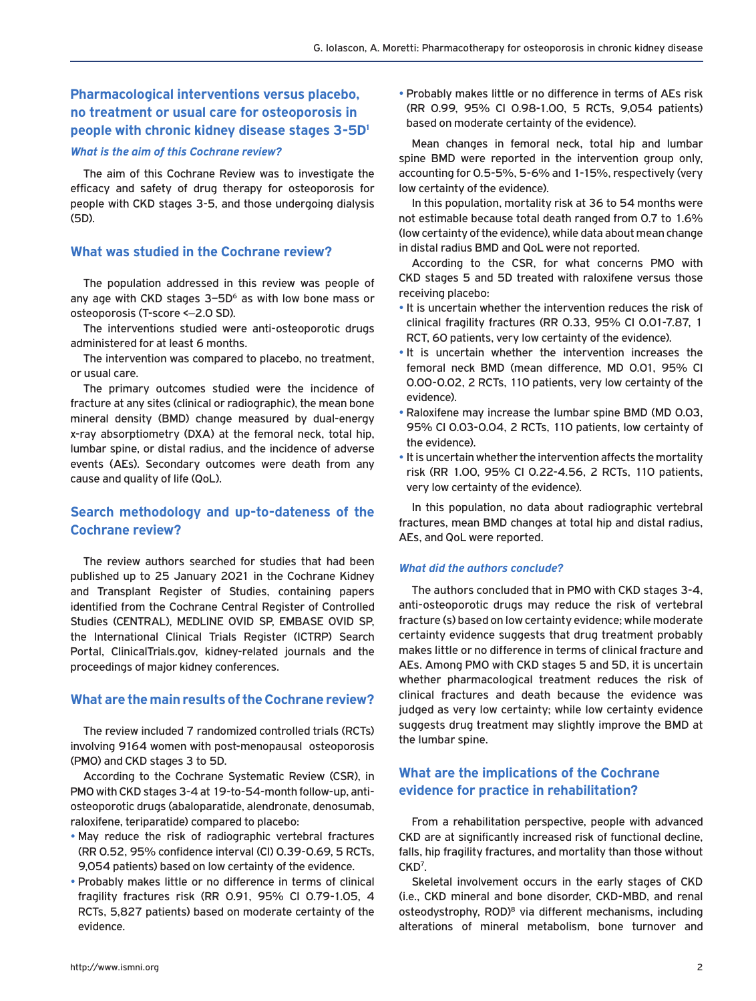# **Pharmacological interventions versus placebo, no treatment or usual care for osteoporosis in [people with chronic kidney disease stages 3-5D1](https://www.cochranelibrary.com/cdsr/doi/10.1002/14651858.CD013424.pub2/full)**

#### *What is the aim of this Cochrane review?*

The aim of this Cochrane Review was to investigate the efficacy and safety of drug therapy for osteoporosis for people with CKD stages 3-5, and those undergoing dialysis (5D).

## **What was studied in the Cochrane review?**

The population addressed in this review was people of any age with CKD stages  $3-5D^6$  as with low bone mass or osteoporosis (T-score <−2.0 SD).

The interventions studied were anti-osteoporotic drugs administered for at least 6 months.

The intervention was compared to placebo, no treatment, or usual care.

The primary outcomes studied were the incidence of fracture at any sites (clinical or radiographic), the mean bone mineral density (BMD) change measured by dual-energy x-ray absorptiometry (DXA) at the femoral neck, total hip, lumbar spine, or distal radius, and the incidence of adverse events (AEs). Secondary outcomes were death from any cause and quality of life (QoL).

## **Search methodology and up-to-dateness of the Cochrane review?**

The review authors searched for studies that had been published up to 25 January 2021 in the Cochrane Kidney and Transplant Register of Studies, containing papers identified from the Cochrane Central Register of Controlled Studies (CENTRAL), MEDLINE OVID SP, EMBASE OVID SP, the International Clinical Trials Register (ICTRP) Search Portal, ClinicalTrials.gov, kidney-related journals and the proceedings of major kidney conferences.

## **What are the main results of the Cochrane review?**

The review included 7 randomized controlled trials (RCTs) involving 9164 women with post-menopausal osteoporosis (PMO) and CKD stages 3 to 5D.

According to the Cochrane Systematic Review (CSR), in PMO with CKD stages 3-4 at 19-to-54-month follow-up, antiosteoporotic drugs (abaloparatide, alendronate, denosumab, raloxifene, teriparatide) compared to placebo:

- May reduce the risk of radiographic vertebral fractures (RR 0.52, 95% confidence interval (CI) 0.39-0.69, 5 RCTs, 9,054 patients) based on low certainty of the evidence.
- Probably makes little or no difference in terms of clinical fragility fractures risk (RR 0.91, 95% CI 0.79-1.05, 4 RCTs, 5,827 patients) based on moderate certainty of the evidence.

• Probably makes little or no difference in terms of AEs risk (RR 0.99, 95% CI 0.98-1.00, 5 RCTs, 9,054 patients) based on moderate certainty of the evidence).

Mean changes in femoral neck, total hip and lumbar spine BMD were reported in the intervention group only, accounting for 0.5-5%, 5-6% and 1-15%, respectively (very low certainty of the evidence).

In this population, mortality risk at 36 to 54 months were not estimable because total death ranged from 0.7 to 1.6% (low certainty of the evidence), while data about mean change in distal radius BMD and QoL were not reported.

According to the CSR, for what concerns PMO with CKD stages 5 and 5D treated with raloxifene versus those receiving placebo:

- It is uncertain whether the intervention reduces the risk of clinical fragility fractures (RR 0.33, 95% CI 0.01-7.87, 1 RCT, 60 patients, very low certainty of the evidence).
- It is uncertain whether the intervention increases the femoral neck BMD (mean difference, MD 0.01, 95% CI 0.00-0.02, 2 RCTs, 110 patients, very low certainty of the evidence).
- Raloxifene may increase the lumbar spine BMD (MD 0.03, 95% CI 0.03-0.04, 2 RCTs, 110 patients, low certainty of the evidence).
- It is uncertain whether the intervention affects the mortality risk (RR 1.00, 95% CI 0.22-4.56, 2 RCTs, 110 patients, very low certainty of the evidence).

In this population, no data about radiographic vertebral fractures, mean BMD changes at total hip and distal radius, AEs, and QoL were reported.

#### *What did the authors conclude?*

The authors concluded that in PMO with CKD stages 3-4, anti-osteoporotic drugs may reduce the risk of vertebral fracture (s) based on low certainty evidence; while moderate certainty evidence suggests that drug treatment probably makes little or no difference in terms of clinical fracture and AEs. Among PMO with CKD stages 5 and 5D, it is uncertain whether pharmacological treatment reduces the risk of clinical fractures and death because the evidence was judged as very low certainty; while low certainty evidence suggests drug treatment may slightly improve the BMD at the lumbar spine.

# **What are the implications of the Cochrane evidence for practice in rehabilitation?**

From a rehabilitation perspective, people with advanced CKD are at significantly increased risk of functional decline, falls, hip fragility fractures, and mortality than those without CK<sub>D</sub><sup>7</sup>.

Skeletal involvement occurs in the early stages of CKD (i.e., CKD mineral and bone disorder, CKD-MBD, and renal osteodystrophy, ROD)<sup>8</sup> via different mechanisms, including alterations of mineral metabolism, bone turnover and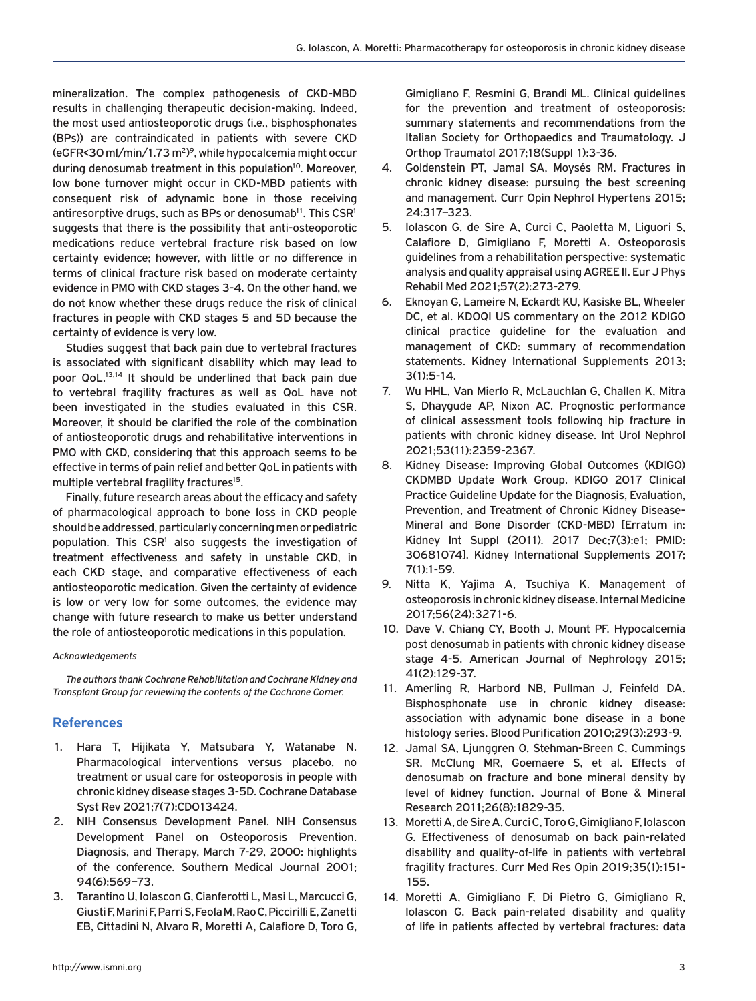mineralization. The complex pathogenesis of CKD-MBD results in challenging therapeutic decision-making. Indeed, the most used antiosteoporotic drugs (i.e., bisphosphonates (BPs)) are contraindicated in patients with severe CKD (eGFR<30 ml/min/1.73 m2) 9, while hypocalcemia might occur during denosumab treatment in this population<sup>10</sup>. Moreover, low bone turnover might occur in CKD-MBD patients with consequent risk of adynamic bone in those receiving antiresorptive drugs, such as BPs or denosumab<sup>11</sup>. This  $\text{CSR}^1$ suggests that there is the possibility that anti-osteoporotic medications reduce vertebral fracture risk based on low certainty evidence; however, with little or no difference in terms of clinical fracture risk based on moderate certainty evidence in PMO with CKD stages 3-4. On the other hand, we do not know whether these drugs reduce the risk of clinical fractures in people with CKD stages 5 and 5D because the certainty of evidence is very low.

Studies suggest that back pain due to vertebral fractures is associated with significant disability which may lead to poor QoL.13,14 It should be underlined that back pain due to vertebral fragility fractures as well as QoL have not been investigated in the studies evaluated in this CSR. Moreover, it should be clarified the role of the combination of antiosteoporotic drugs and rehabilitative interventions in PMO with CKD, considering that this approach seems to be effective in terms of pain relief and better QoL in patients with multiple vertebral fragility fractures<sup>15</sup>.

Finally, future research areas about the efficacy and safety of pharmacological approach to bone loss in CKD people should be addressed, particularly concerning men or pediatric population. This CSR<sup>1</sup> also suggests the investigation of treatment effectiveness and safety in unstable CKD, in each CKD stage, and comparative effectiveness of each antiosteoporotic medication. Given the certainty of evidence is low or very low for some outcomes, the evidence may change with future research to make us better understand the role of antiosteoporotic medications in this population.

### *Acknowledgements*

*The authors thank Cochrane Rehabilitation and Cochrane Kidney and Transplant Group for reviewing the contents of the Cochrane Corner.*

## **References**

- 1. Hara T, Hijikata Y, Matsubara Y, Watanabe N. [Pharmacological interventions versus placebo, no](https://www.cochranelibrary.com/cdsr/doi/10.1002/14651858.CD013424.pub2/full)  treatment or usual care for osteoporosis in people with chronic kidney disease stages 3-5D. Cochrane Database Syst Rev 2021;7(7):CD013424.
- 2. NIH Consensus Development Panel. NIH Consensus Development Panel on Osteoporosis Prevention. Diagnosis, and Therapy, March 7-29, 2000: highlights of the conference. Southern Medical Journal 2001; 94(6):569–73.
- 3. Tarantino U, Iolascon G, Cianferotti L, Masi L, Marcucci G, Giusti F, Marini F, Parri S, Feola M, Rao C, Piccirilli E, Zanetti EB, Cittadini N, Alvaro R, Moretti A, Calafiore D, Toro G,

Gimigliano F, Resmini G, Brandi ML. Clinical guidelines for the prevention and treatment of osteoporosis: summary statements and recommendations from the Italian Society for Orthopaedics and Traumatology. J Orthop Traumatol 2017;18(Suppl 1):3-36.

- 4. Goldenstein PT, Jamal SA, Moysés RM. Fractures in chronic kidney disease: pursuing the best screening and management. Curr Opin Nephrol Hypertens 2015; 24:317–323.
- 5. Iolascon G, de Sire A, Curci C, Paoletta M, Liguori S, Calafiore D, Gimigliano F, Moretti A. Osteoporosis guidelines from a rehabilitation perspective: systematic analysis and quality appraisal using AGREE II. Eur J Phys Rehabil Med 2021;57(2):273-279.
- 6. Eknoyan G, Lameire N, Eckardt KU, Kasiske BL, Wheeler DC, et al. KDOQI US commentary on the 2012 KDIGO clinical practice guideline for the evaluation and management of CKD: summary of recommendation statements. Kidney International Supplements 2013; 3(1):5-14.
- 7. Wu HHL, Van Mierlo R, McLauchlan G, Challen K, Mitra S, Dhaygude AP, Nixon AC. Prognostic performance of clinical assessment tools following hip fracture in patients with chronic kidney disease. Int Urol Nephrol 2021;53(11):2359-2367.
- 8. Kidney Disease: Improving Global Outcomes (KDIGO) CKDMBD Update Work Group. KDIGO 2017 Clinical Practice Guideline Update for the Diagnosis, Evaluation, Prevention, and Treatment of Chronic Kidney Disease-Mineral and Bone Disorder (CKD-MBD) [Erratum in: Kidney Int Suppl (2011). 2017 Dec;7(3):e1; PMID: 30681074]. Kidney International Supplements 2017; 7(1):1-59.
- 9. Nitta K, Yajima A, Tsuchiya K. Management of osteoporosis in chronic kidney disease. Internal Medicine 2017;56(24):3271-6.
- 10. Dave V, Chiang CY, Booth J, Mount PF. Hypocalcemia post denosumab in patients with chronic kidney disease stage 4-5. American Journal of Nephrology 2015; 41(2):129-37.
- 11. Amerling R, Harbord NB, Pullman J, Feinfeld DA. Bisphosphonate use in chronic kidney disease: association with adynamic bone disease in a bone histology series. Blood Purification 2010;29(3):293-9.
- 12. Jamal SA, Ljunggren O, Stehman-Breen C, Cummings SR, McClung MR, Goemaere S, et al. Effects of denosumab on fracture and bone mineral density by level of kidney function. Journal of Bone & Mineral Research 2011;26(8):1829-35.
- 13. Moretti A, de Sire A, Curci C, Toro G, Gimigliano F, Iolascon G. Effectiveness of denosumab on back pain-related disability and quality-of-life in patients with vertebral fragility fractures. Curr Med Res Opin 2019;35(1):151- 155.
- 14. Moretti A, Gimigliano F, Di Pietro G, Gimigliano R, Iolascon G. Back pain-related disability and quality of life in patients affected by vertebral fractures: data